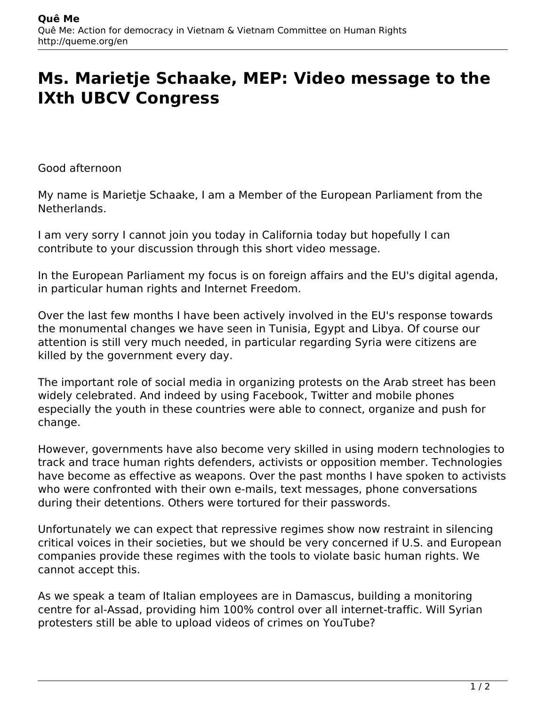## **Ms. Marietje Schaake, MEP: Video message to the IXth UBCV Congress**

Good afternoon

My name is Marietje Schaake, I am a Member of the European Parliament from the Netherlands.

I am very sorry I cannot join you today in California today but hopefully I can contribute to your discussion through this short video message.

In the European Parliament my focus is on foreign affairs and the EU's digital agenda, in particular human rights and Internet Freedom.

Over the last few months I have been actively involved in the EU's response towards the monumental changes we have seen in Tunisia, Egypt and Libya. Of course our attention is still very much needed, in particular regarding Syria were citizens are killed by the government every day.

The important role of social media in organizing protests on the Arab street has been widely celebrated. And indeed by using Facebook, Twitter and mobile phones especially the youth in these countries were able to connect, organize and push for change.

However, governments have also become very skilled in using modern technologies to track and trace human rights defenders, activists or opposition member. Technologies have become as effective as weapons. Over the past months I have spoken to activists who were confronted with their own e-mails, text messages, phone conversations during their detentions. Others were tortured for their passwords.

Unfortunately we can expect that repressive regimes show now restraint in silencing critical voices in their societies, but we should be very concerned if U.S. and European companies provide these regimes with the tools to violate basic human rights. We cannot accept this.

As we speak a team of Italian employees are in Damascus, building a monitoring centre for al-Assad, providing him 100% control over all internet-traffic. Will Syrian protesters still be able to upload videos of crimes on YouTube?